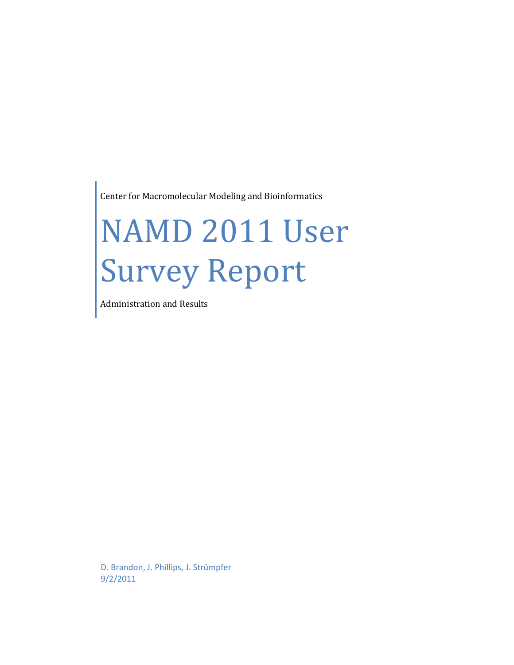Center for Macromolecular Modeling and Bioinformatics

# NAMD 2011 User Survey Report

Administration and Results

D. Brandon, J. Phillips, J. Strümpfer 9/2/2011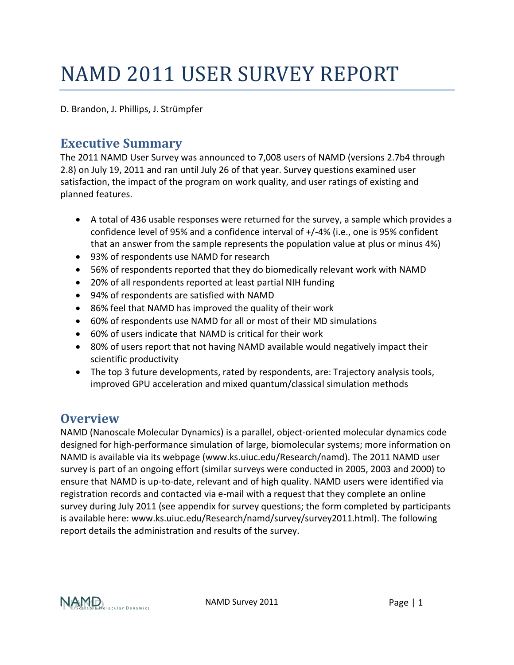# NAMD 2011 USER SURVEY REPORT

<span id="page-1-0"></span>D. Brandon, J. Phillips, J. Strümpfer

# **Executive Summary**

The 2011 NAMD User Survey was announced to 7,008 users of NAMD (versions 2.7b4 through 2.8) on July 19, 2011 and ran until July 26 of that year. Survey questions examined user satisfaction, the impact of the program on work quality, and user ratings of existing and planned features.

- A total of 436 usable responses were returned for the survey, a sample which provides a confidence level of 95% and a confidence interval of +/-4% (i.e., one is 95% confident that an answer from the sample represents the population value at plus or minus 4%)
- 93% of respondents use NAMD for research
- 56% of respondents reported that they do biomedically relevant work with NAMD
- 20% of all respondents reported at least partial NIH funding
- 94% of respondents are satisfied with NAMD
- 86% feel that NAMD has improved the quality of their work
- 60% of respondents use NAMD for all or most of their MD simulations
- 60% of users indicate that NAMD is critical for their work
- 80% of users report that not having NAMD available would negatively impact their scientific productivity
- The top 3 future developments, rated by respondents, are: Trajectory analysis tools, improved GPU acceleration and mixed quantum/classical simulation methods

# <span id="page-1-1"></span>**Overview**

NAMD (Nanoscale Molecular Dynamics) is a parallel, object-oriented molecular dynamics code designed for high-performance simulation of large, biomolecular systems; more information on NAMD is available via its webpage (www.ks.uiuc.edu/Research/namd). The 2011 NAMD user survey is part of an ongoing effort (similar surveys were conducted in 2005, 2003 and 2000) to ensure that NAMD is up-to-date, relevant and of high quality. NAMD users were identified via registration records and contacted via e-mail with a request that they complete an online survey during July 2011 (see appendix for survey questions; the form completed by participants is available here: www.ks.uiuc.edu/Research/namd/survey/survey2011.html). The following report details the administration and results of the survey.

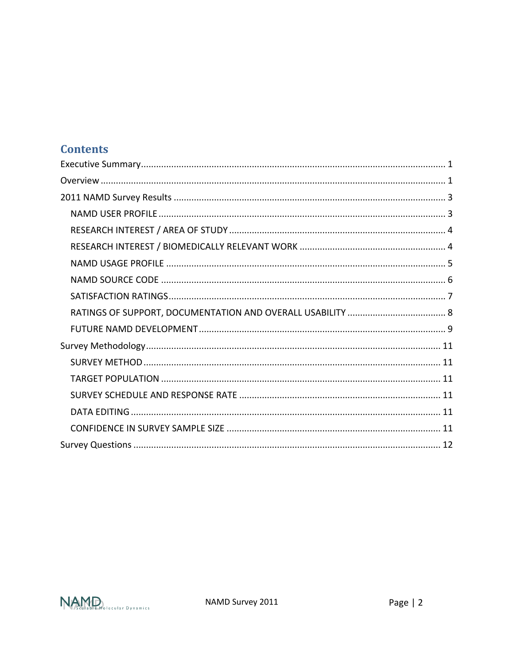### **Contents**

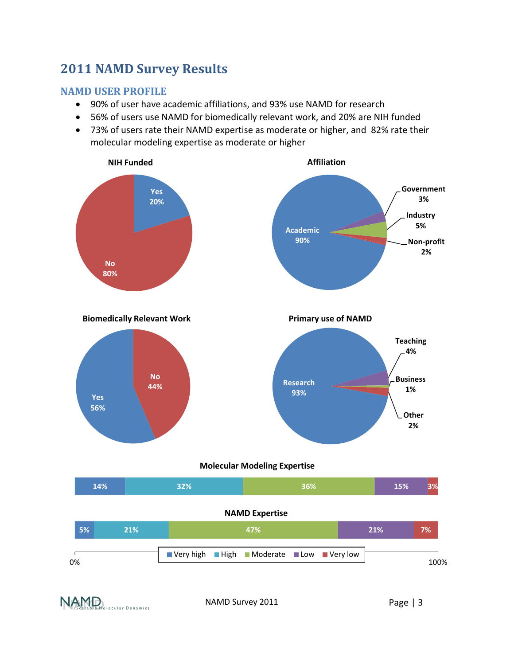# <span id="page-3-0"></span>**2011 NAMD Survey Results**

#### **NAMD USER PROFILE**

- 90% of user have academic affiliations, and 93% use NAMD for research
- 56% of users use NAMD for biomedically relevant work, and 20% are NIH funded
- 73% of users rate their NAMD expertise as moderate or higher, and 82% rate their molecular modeling expertise as moderate or higher



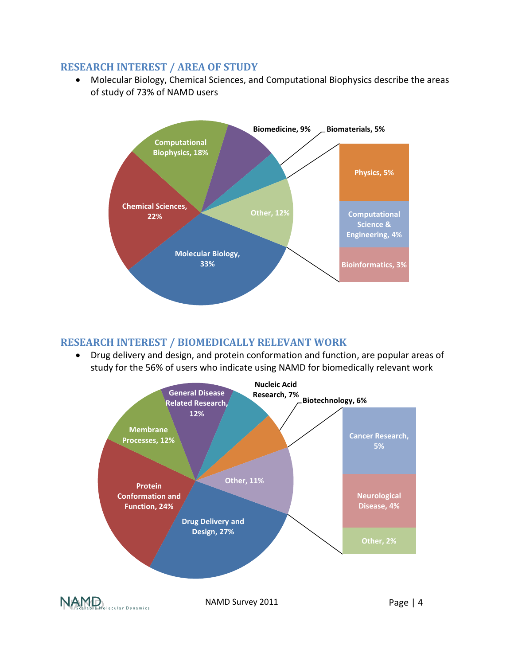#### <span id="page-4-0"></span>**RESEARCH INTEREST / AREA OF STUDY**

 Molecular Biology, Chemical Sciences, and Computational Biophysics describe the areas of study of 73% of NAMD users



#### <span id="page-4-1"></span>**RESEARCH INTEREST / BIOMEDICALLY RELEVANT WORK**

 Drug delivery and design, and protein conformation and function, are popular areas of study for the 56% of users who indicate using NAMD for biomedically relevant work

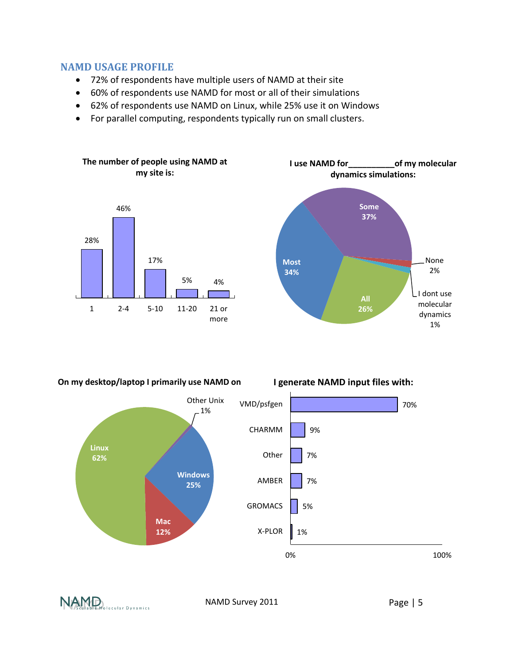#### <span id="page-5-0"></span>**NAMD USAGE PROFILE**

- 72% of respondents have multiple users of NAMD at their site
- 60% of respondents use NAMD for most or all of their simulations
- 62% of respondents use NAMD on Linux, while 25% use it on Windows
- For parallel computing, respondents typically run on small clusters.





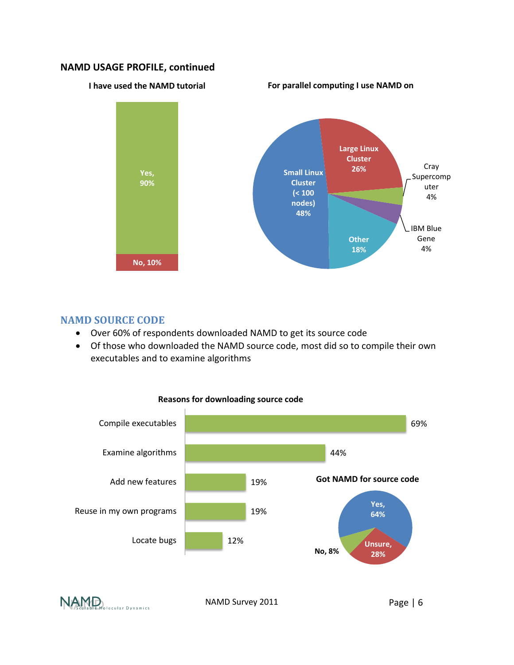#### **NAMD USAGE PROFILE, continued**



#### <span id="page-6-0"></span>**NAMD SOURCE CODE**

- Over 60% of respondents downloaded NAMD to get its source code
- Of those who downloaded the NAMD source code, most did so to compile their own executables and to examine algorithms



#### **Reasons for downloading source code**

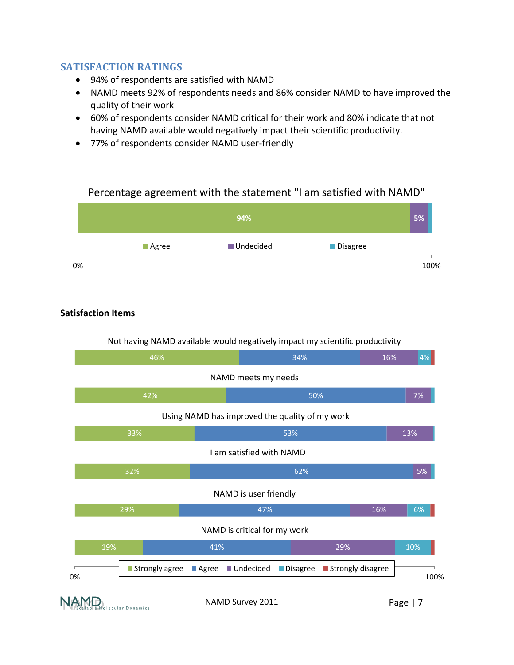#### <span id="page-7-0"></span>**SATISFACTION RATINGS**

- 94% of respondents are satisfied with NAMD
- NAMD meets 92% of respondents needs and 86% consider NAMD to have improved the quality of their work
- 60% of respondents consider NAMD critical for their work and 80% indicate that not having NAMD available would negatively impact their scientific productivity.
- 77% of respondents consider NAMD user-friendly

#### Percentage agreement with the statement "I am satisfied with NAMD"



#### **Satisfaction Items**

#### 19% 29% 32% 33% 42% 46% 41% 47% 62% 53% 50% 34% 29% 16% 5% 13% 7% 16% 10% 4%  $0\%$  100% and 100% and 100% and 100% and 100% and 100% and 100% and 100% and 100% and 100% and 100% and 100% and 100% and 100% and 100% and 100% and 100% and 100% and 100% and 100% and 100% and 100% and 100% and 100% and ■ Strongly agree ■ Agree ■ Undecided ■ Disagree ■ Strongly disagree NAMD meets my needs Using NAMD has improved the quality of my work Not having NAMD available would negatively impact my scientific productivity NAMD is user friendly NAMD is critical for my work I am satisfied with NAMD

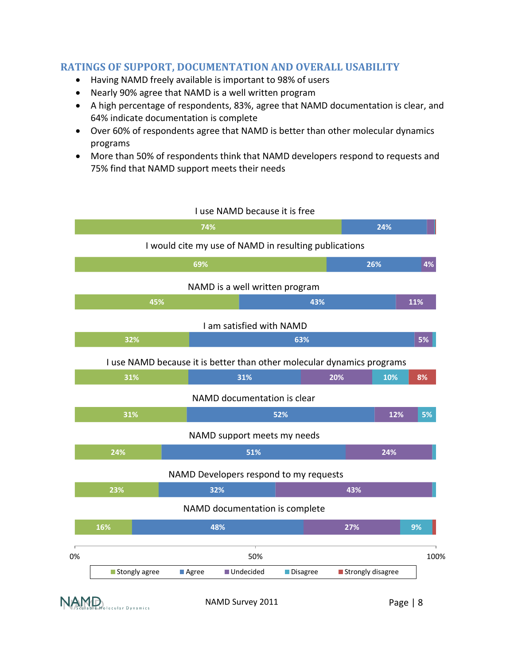#### <span id="page-8-0"></span>**RATINGS OF SUPPORT, DOCUMENTATION AND OVERALL USABILITY**

- Having NAMD freely available is important to 98% of users
- Nearly 90% agree that NAMD is a well written program
- A high percentage of respondents, 83%, agree that NAMD documentation is clear, and 64% indicate documentation is complete
- Over 60% of respondents agree that NAMD is better than other molecular dynamics programs
- More than 50% of respondents think that NAMD developers respond to requests and 75% find that NAMD support meets their needs



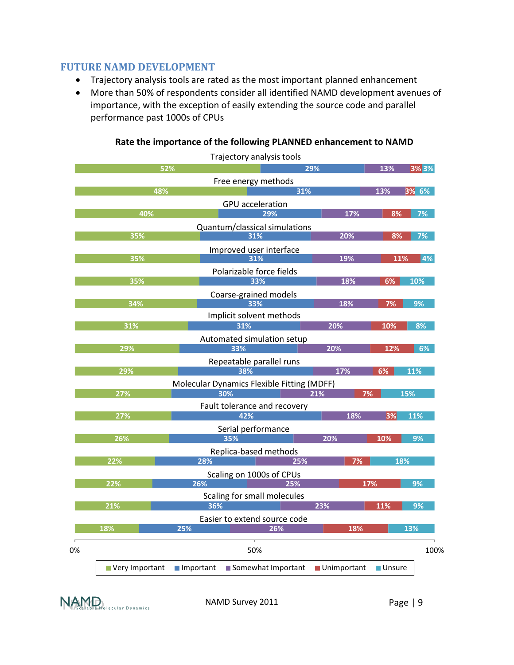#### <span id="page-9-0"></span>**FUTURE NAMD DEVELOPMENT**

- Trajectory analysis tools are rated as the most important planned enhancement
- More than 50% of respondents consider all identified NAMD development avenues of importance, with the exception of easily extending the source code and parallel performance past 1000s of CPUs

|                |           | Trajectory analysis tools                  |                    |                 |       |
|----------------|-----------|--------------------------------------------|--------------------|-----------------|-------|
| 52%            |           |                                            | 29%                | 13%             | 3% 3% |
|                |           | Free energy methods                        |                    |                 |       |
| 48%            |           | 31%                                        |                    | 13%             | 3% 6% |
|                |           | <b>GPU</b> acceleration                    |                    |                 |       |
| 40%            |           | 29%                                        | 17%                | 8%              | 7%    |
| 35%            |           | Quantum/classical simulations<br>31%       | 20%                | 8%              | 7%    |
|                |           |                                            |                    |                 |       |
| 35%            |           | Improved user interface<br>31%             | 19%                | 11%             | 4%    |
|                |           | Polarizable force fields                   |                    |                 |       |
| 35%            |           | 33%                                        | 18%                | 6%              | 10%   |
|                |           | Coarse-grained models                      |                    |                 |       |
| 34%            |           | 33%                                        | 18%                | 7%              | 9%    |
|                |           | Implicit solvent methods                   |                    |                 |       |
| 31%            |           | 31%                                        | 20%                | 10%             | 8%    |
|                |           | Automated simulation setup                 |                    |                 |       |
| 29%            |           | 33%                                        | 20%                | 12%             | 6%    |
|                |           | Repeatable parallel runs                   |                    |                 |       |
| 29%            |           | 38%                                        | 17%                | 6%              | 11%   |
|                |           | Molecular Dynamics Flexible Fitting (MDFF) |                    |                 |       |
| 27%            |           | 30%                                        | 21%<br>7%          |                 | 15%   |
| 27%            |           | Fault tolerance and recovery<br>42%        | 18%                |                 | 11%   |
|                |           |                                            |                    | 3%              |       |
| 26%            |           | Serial performance<br>35%                  | 20%                | 10%             | 9%    |
|                |           | Replica-based methods                      |                    |                 |       |
| 22%            | 28%       | 25%                                        | 7%                 | 18%             |       |
|                |           | Scaling on 1000s of CPUs                   |                    |                 |       |
| 22%            | 26%       | 25%                                        |                    | 17%             | 9%    |
|                |           | Scaling for small molecules                |                    |                 |       |
| 21%            | 36%       |                                            | 23%                | 11%             | 9%    |
|                |           | Easier to extend source code               |                    |                 |       |
| 18%            | 25%       | 26%                                        | 18%                |                 | 13%   |
|                |           | 50%                                        |                    |                 | 100%  |
| Very Important | Important | Somewhat Important                         | <b>Unimportant</b> | <b>■</b> Unsure |       |
|                |           |                                            |                    |                 |       |

#### **Rate the importance of the following PLANNED enhancement to NAMD**

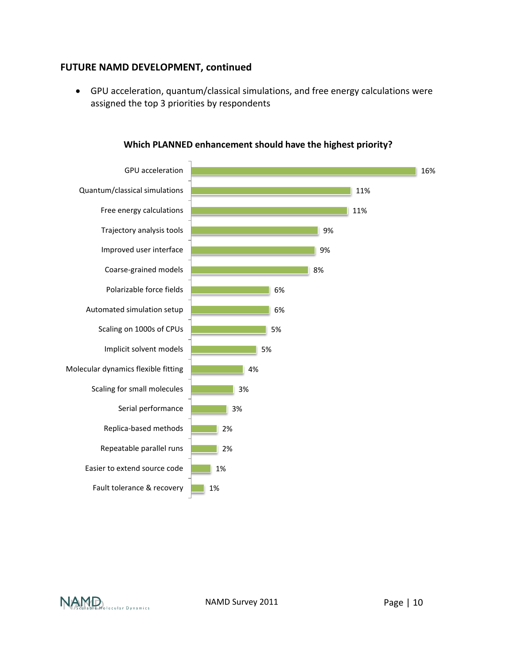#### **FUTURE NAMD DEVELOPMENT, continued**

 GPU acceleration, quantum/classical simulations, and free energy calculations were assigned the top 3 priorities by respondents





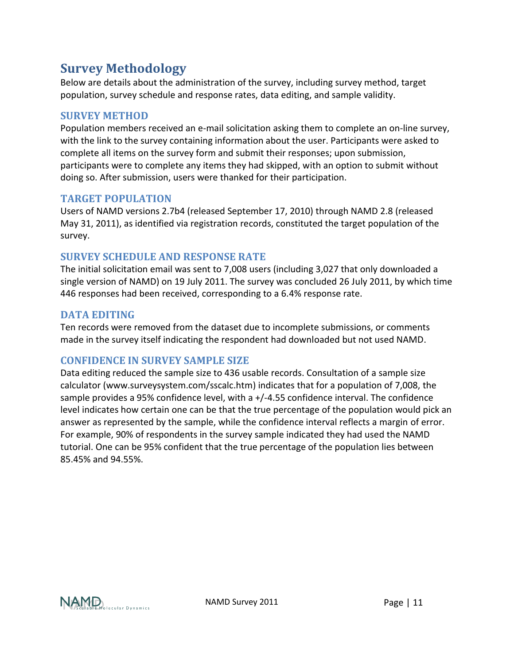# <span id="page-11-0"></span>**Survey Methodology**

Below are details about the administration of the survey, including survey method, target population, survey schedule and response rates, data editing, and sample validity.

#### <span id="page-11-1"></span>**SURVEY METHOD**

Population members received an e-mail solicitation asking them to complete an on-line survey, with the link to the survey containing information about the user. Participants were asked to complete all items on the survey form and submit their responses; upon submission, participants were to complete any items they had skipped, with an option to submit without doing so. After submission, users were thanked for their participation.

#### <span id="page-11-2"></span>**TARGET POPULATION**

Users of NAMD versions 2.7b4 (released September 17, 2010) through NAMD 2.8 (released May 31, 2011), as identified via registration records, constituted the target population of the survey.

#### <span id="page-11-3"></span>**SURVEY SCHEDULE AND RESPONSE RATE**

The initial solicitation email was sent to 7,008 users (including 3,027 that only downloaded a single version of NAMD) on 19 July 2011. The survey was concluded 26 July 2011, by which time 446 responses had been received, corresponding to a 6.4% response rate.

#### <span id="page-11-4"></span>**DATA EDITING**

Ten records were removed from the dataset due to incomplete submissions, or comments made in the survey itself indicating the respondent had downloaded but not used NAMD.

#### <span id="page-11-5"></span>**CONFIDENCE IN SURVEY SAMPLE SIZE**

Data editing reduced the sample size to 436 usable records. Consultation of a sample size calculator (www.surveysystem.com/sscalc.htm) indicates that for a population of 7,008, the sample provides a 95% confidence level, with a +/-4.55 confidence interval. The confidence level indicates how certain one can be that the true percentage of the population would pick an answer as represented by the sample, while the confidence interval reflects a margin of error. For example, 90% of respondents in the survey sample indicated they had used the NAMD tutorial. One can be 95% confident that the true percentage of the population lies between 85.45% and 94.55%.

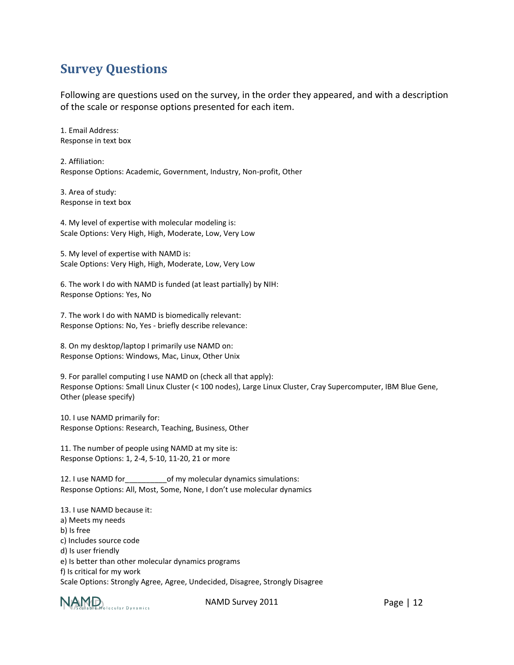# <span id="page-12-0"></span>**Survey Questions**

Following are questions used on the survey, in the order they appeared, and with a description of the scale or response options presented for each item.

1. Email Address: Response in text box

2. Affiliation: Response Options: Academic, Government, Industry, Non-profit, Other

3. Area of study: Response in text box

4. My level of expertise with molecular modeling is: Scale Options: Very High, High, Moderate, Low, Very Low

5. My level of expertise with NAMD is: Scale Options: Very High, High, Moderate, Low, Very Low

6. The work I do with NAMD is funded (at least partially) by NIH: Response Options: Yes, No

7. The work I do with NAMD is biomedically relevant: Response Options: No, Yes - briefly describe relevance:

8. On my desktop/laptop I primarily use NAMD on: Response Options: Windows, Mac, Linux, Other Unix

9. For parallel computing I use NAMD on (check all that apply): Response Options: Small Linux Cluster (< 100 nodes), Large Linux Cluster, Cray Supercomputer, IBM Blue Gene, Other (please specify)

10. I use NAMD primarily for: Response Options: Research, Teaching, Business, Other

11. The number of people using NAMD at my site is: Response Options: 1, 2-4, 5-10, 11-20, 21 or more

12. I use NAMD for\_\_\_\_\_\_\_\_\_\_of my molecular dynamics simulations: Response Options: All, Most, Some, None, I don't use molecular dynamics

13. I use NAMD because it: a) Meets my needs b) Is free c) Includes source code d) Is user friendly e) Is better than other molecular dynamics programs f) Is critical for my work Scale Options: Strongly Agree, Agree, Undecided, Disagree, Strongly Disagree

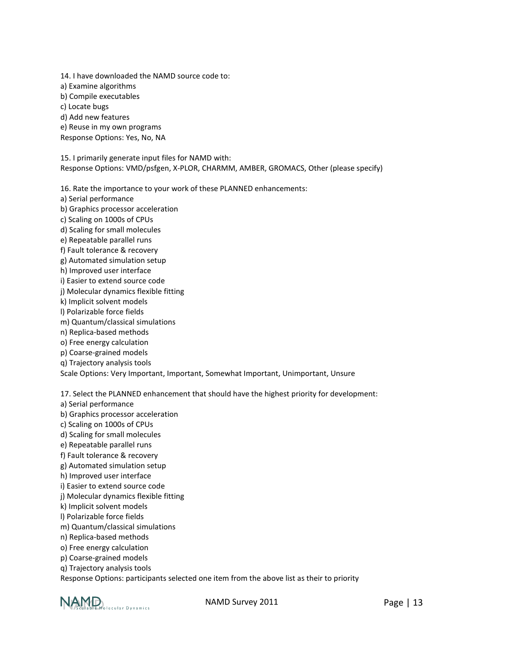14. I have downloaded the NAMD source code to: a) Examine algorithms b) Compile executables c) Locate bugs d) Add new features e) Reuse in my own programs

Response Options: Yes, No, NA

15. I primarily generate input files for NAMD with: Response Options: VMD/psfgen, X-PLOR, CHARMM, AMBER, GROMACS, Other (please specify)

16. Rate the importance to your work of these PLANNED enhancements:

a) Serial performance

b) Graphics processor acceleration

c) Scaling on 1000s of CPUs

d) Scaling for small molecules

e) Repeatable parallel runs

f) Fault tolerance & recovery

g) Automated simulation setup

h) Improved user interface

i) Easier to extend source code

j) Molecular dynamics flexible fitting

k) Implicit solvent models

l) Polarizable force fields

m) Quantum/classical simulations

n) Replica-based methods

o) Free energy calculation

p) Coarse-grained models

q) Trajectory analysis tools

Scale Options: Very Important, Important, Somewhat Important, Unimportant, Unsure

17. Select the PLANNED enhancement that should have the highest priority for development:

a) Serial performance

b) Graphics processor acceleration

c) Scaling on 1000s of CPUs

d) Scaling for small molecules

e) Repeatable parallel runs

f) Fault tolerance & recovery

g) Automated simulation setup

h) Improved user interface

i) Easier to extend source code

j) Molecular dynamics flexible fitting

k) Implicit solvent models

l) Polarizable force fields

m) Quantum/classical simulations

n) Replica-based methods

o) Free energy calculation

p) Coarse-grained models

q) Trajectory analysis tools

Response Options: participants selected one item from the above list as their to priority